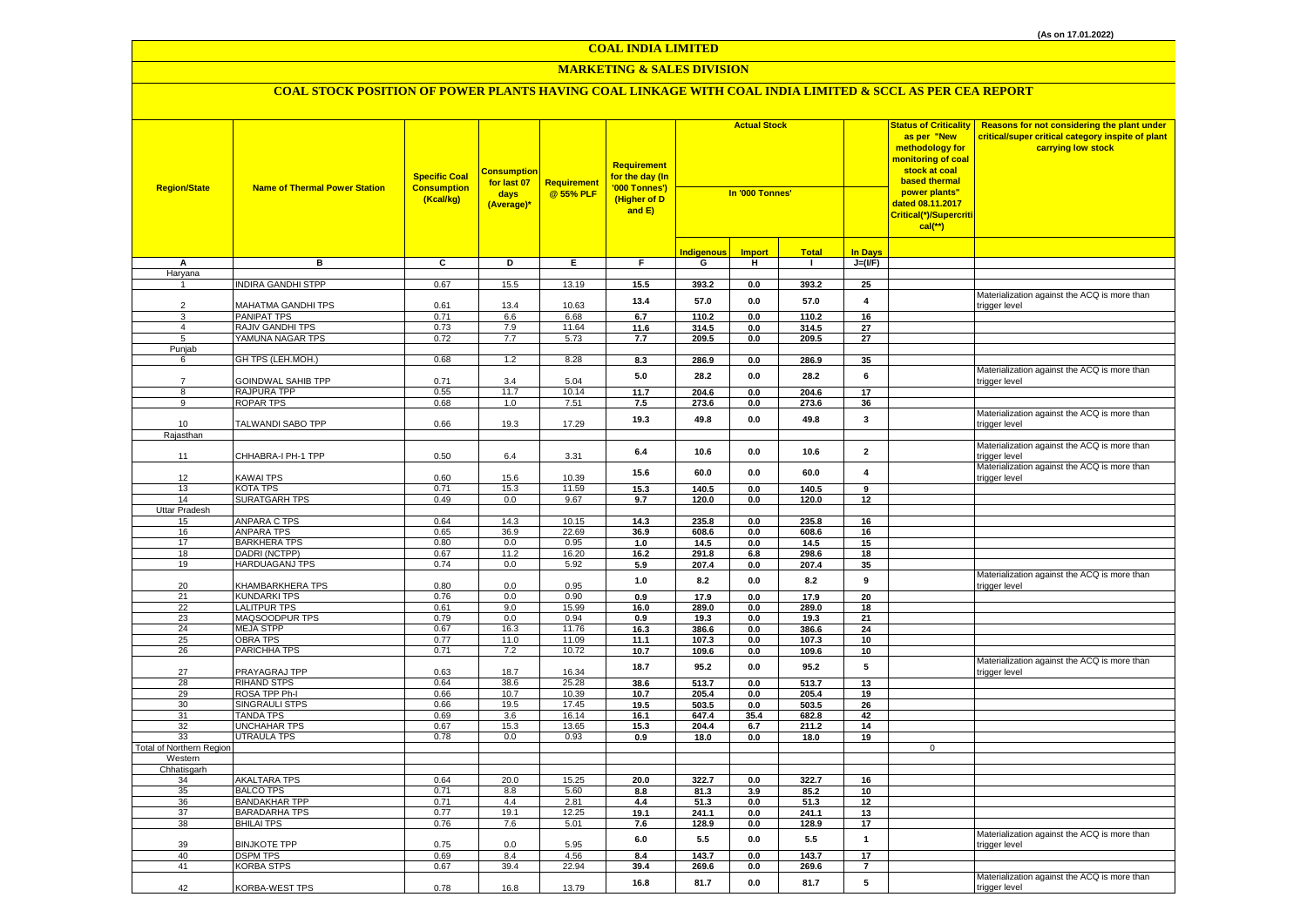### **MARKETING & SALES DIVISION**

| <b>Region/State</b>      | <b>Name of Thermal Power Station</b>        | <b>Specific Coal</b><br><b>Consumption</b><br>(Kcal/kg) | <u>Consumption</u><br>for last 07<br>days<br>(Average)* | <b>Requirement</b><br>@ 55% PLF | <b>Requirement</b><br>for the day (In<br>'000 Tonnes')<br>(Higher of D<br>and E) | <b>Actual Stock</b><br>In '000 Tonnes' |               |                | <b>Status of Criticality</b><br>as per "New<br>methodology for<br>monitoring of coal<br>stock at coal<br>based thermal<br>power plants"<br>dated 08.11.2017<br>Critical(*)/Supercriti<br>$cal$ (**) | Reasons for not considering the plant under<br>critical/super critical category inspite of plant<br>carrying low stock |                                                               |
|--------------------------|---------------------------------------------|---------------------------------------------------------|---------------------------------------------------------|---------------------------------|----------------------------------------------------------------------------------|----------------------------------------|---------------|----------------|-----------------------------------------------------------------------------------------------------------------------------------------------------------------------------------------------------|------------------------------------------------------------------------------------------------------------------------|---------------------------------------------------------------|
|                          |                                             |                                                         |                                                         |                                 |                                                                                  | <b>Indigenous</b>                      | <b>Import</b> | <b>Total</b>   | <b>In Days</b>                                                                                                                                                                                      |                                                                                                                        |                                                               |
| А                        | в                                           | C                                                       | D                                                       | Е.                              | F.                                                                               | G                                      | н.            | $\mathbf{I}$   | $J=(I/F)$                                                                                                                                                                                           |                                                                                                                        |                                                               |
| Haryana                  |                                             |                                                         |                                                         |                                 |                                                                                  |                                        |               |                |                                                                                                                                                                                                     |                                                                                                                        |                                                               |
|                          | <b>INDIRA GANDHI STPP</b>                   | 0.67                                                    | 15.5                                                    | 13.19                           | 15.5                                                                             | 393.2                                  | 0.0           | 393.2          | 25                                                                                                                                                                                                  |                                                                                                                        |                                                               |
| $\overline{2}$           | MAHATMA GANDHI TPS                          | 0.61                                                    | 13.4                                                    | 10.63                           | 13.4                                                                             | 57.0                                   | $0.0\,$       | 57.0           | $\pmb{4}$                                                                                                                                                                                           |                                                                                                                        | Materialization against the ACQ is more than<br>trigger level |
| 3                        | <b>PANIPAT TPS</b>                          | 0.71                                                    | 6.6                                                     | 6.68                            | 6.7                                                                              | 110.2                                  | 0.0           | 110.2          | 16                                                                                                                                                                                                  |                                                                                                                        |                                                               |
| $\overline{4}$<br>5      | <b>RAJIV GANDHI TPS</b><br>YAMUNA NAGAR TPS | 0.73                                                    | 7.9<br>7.7                                              | 11.64<br>5.73                   | 11.6                                                                             | 314.5                                  | 0.0           | 314.5          | 27<br>27                                                                                                                                                                                            |                                                                                                                        |                                                               |
| Punjab                   |                                             | 0.72                                                    |                                                         |                                 | 7.7                                                                              | 209.5                                  | 0.0           | 209.5          |                                                                                                                                                                                                     |                                                                                                                        |                                                               |
| 6                        | GH TPS (LEH.MOH.)                           | 0.68                                                    | 1.2                                                     | 8.28                            | 8.3                                                                              | 286.9                                  | 0.0           | 286.9          | 35                                                                                                                                                                                                  |                                                                                                                        |                                                               |
| $\overline{7}$           | GOINDWAL SAHIB TPP                          | 0.71                                                    | 3.4                                                     | 5.04                            | $5.0\,$                                                                          | 28.2                                   | $0.0\,$       | 28.2           | $\bf 6$                                                                                                                                                                                             |                                                                                                                        | Materialization against the ACQ is more than<br>trigger level |
| 8                        | RAJPURA TPP                                 | 0.55                                                    | 11.7                                                    | 10.14                           | 11.7                                                                             | 204.6                                  | 0.0           | 204.6          | 17                                                                                                                                                                                                  |                                                                                                                        |                                                               |
| 9                        | ROPAR TPS                                   | 0.68                                                    | 1.0                                                     | 7.51                            | 7.5                                                                              | 273.6                                  | 0.0           | 273.6          | 36                                                                                                                                                                                                  |                                                                                                                        |                                                               |
| 10                       | TALWANDI SABO TPP                           | 0.66                                                    | 19.3                                                    | 17.29                           | 19.3                                                                             | 49.8                                   | 0.0           | 49.8           | 3                                                                                                                                                                                                   |                                                                                                                        | Materialization against the ACQ is more than<br>trigger level |
| Rajasthan                |                                             |                                                         |                                                         |                                 |                                                                                  |                                        |               |                |                                                                                                                                                                                                     |                                                                                                                        |                                                               |
| 11                       | CHHABRA-I PH-1 TPP                          | 0.50                                                    | 6.4                                                     | 3.31                            | 6.4                                                                              | 10.6                                   | 0.0           | 10.6           | $\overline{\mathbf{2}}$                                                                                                                                                                             |                                                                                                                        | Materialization against the ACQ is more than<br>trigger level |
|                          |                                             |                                                         |                                                         |                                 | 15.6                                                                             | 60.0                                   | 0.0           | 60.0           | $\overline{4}$                                                                                                                                                                                      |                                                                                                                        | Materialization against the ACQ is more than                  |
| 12<br>13                 | KAWAI TPS<br>KOTA TPS                       | 0.60<br>0.71                                            | 15.6<br>15.3                                            | 10.39<br>11.59                  | 15.3                                                                             | 140.5                                  | 0.0           | 140.5          | 9                                                                                                                                                                                                   |                                                                                                                        | trigger level                                                 |
| 14                       | <b>SURATGARH TPS</b>                        | 0.49                                                    | 0.0                                                     | 9.67                            | 9.7                                                                              | 120.0                                  | $0.0\,$       | 120.0          | 12                                                                                                                                                                                                  |                                                                                                                        |                                                               |
| Uttar Pradesh            |                                             |                                                         |                                                         |                                 |                                                                                  |                                        |               |                |                                                                                                                                                                                                     |                                                                                                                        |                                                               |
| 15                       | <b>ANPARA C TPS</b>                         | 0.64                                                    | 14.3                                                    | 10.15                           | 14.3                                                                             | 235.8                                  | 0.0           | 235.8          | 16                                                                                                                                                                                                  |                                                                                                                        |                                                               |
| 16                       | <b>ANPARA TPS</b>                           | 0.65                                                    | 36.9                                                    | 22.69                           | 36.9                                                                             | 608.6                                  | 0.0           | 608.6          | 16                                                                                                                                                                                                  |                                                                                                                        |                                                               |
| 17                       | <b>BARKHERA TPS</b>                         | 0.80                                                    | 0.0                                                     | 0.95                            | 1.0                                                                              | 14.5                                   | 0.0           | 14.5           | 15                                                                                                                                                                                                  |                                                                                                                        |                                                               |
| 18                       | DADRI (NCTPP)                               | 0.67                                                    | 11.2                                                    | 16.20                           | 16.2                                                                             | 291.8                                  | 6.8           | 298.6          | 18                                                                                                                                                                                                  |                                                                                                                        |                                                               |
| 19                       | <b>HARDUAGANJ TPS</b>                       | 0.74                                                    | 0.0                                                     | 5.92                            | 5.9                                                                              | 207.4                                  | $0.0\,$       | 207.4          | 35                                                                                                                                                                                                  |                                                                                                                        |                                                               |
| 20                       | <b>KHAMBARKHERA TPS</b>                     | 0.80                                                    | 0.0                                                     | 0.95                            | $1.0\,$                                                                          | 8.2                                    | $0.0\,$       | 8.2            | $\boldsymbol{9}$                                                                                                                                                                                    |                                                                                                                        | Materialization against the ACQ is more than<br>trigger level |
| 21<br>22                 | <b>KUNDARKI TPS</b><br><b>LALITPUR TPS</b>  | 0.76<br>0.61                                            | 0.0<br>9.0                                              | 0.90<br>15.99                   | 0.9                                                                              | 17.9<br>289.0                          | 0.0           | 17.9<br>289.0  | 20<br>18                                                                                                                                                                                            |                                                                                                                        |                                                               |
| 23                       | MAQSOODPUR TPS                              | 0.79                                                    | 0.0                                                     | 0.94                            | 16.0<br>0.9                                                                      | 19.3                                   | 0.0<br>0.0    | 19.3           | 21                                                                                                                                                                                                  |                                                                                                                        |                                                               |
| 24                       | <b>MEJA STPP</b>                            | 0.67                                                    | 16.3                                                    | 11.76                           | 16.3                                                                             | 386.6                                  | 0.0           | 386.6          | 24                                                                                                                                                                                                  |                                                                                                                        |                                                               |
| 25                       | OBRA TPS                                    | 0.77                                                    | 11.0                                                    | 11.09                           | 11.1                                                                             | 107.3                                  | 0.0           | 107.3          | 10                                                                                                                                                                                                  |                                                                                                                        |                                                               |
| 26                       | PARICHHA TPS                                | 0.71                                                    | 7.2                                                     | 10.72                           | 10.7                                                                             | 109.6                                  | 0.0           | 109.6          | 10                                                                                                                                                                                                  |                                                                                                                        |                                                               |
| 27                       | PRAYAGRAJ TPP                               | 0.63                                                    | 18.7                                                    | 16.34                           | 18.7                                                                             | 95.2                                   | $0.0\,$       | 95.2           | 5                                                                                                                                                                                                   |                                                                                                                        | Materialization against the ACQ is more than<br>trigger level |
| 28                       | <b>RIHAND STPS</b>                          | 0.64                                                    | 38.6                                                    | 25.28                           | 38.6                                                                             | 513.7                                  | 0.0           | 513.7          | 13                                                                                                                                                                                                  |                                                                                                                        |                                                               |
| 29                       | ROSA TPP Ph-I                               | 0.66                                                    | 10.7                                                    | 10.39                           | 10.7                                                                             | 205.4                                  | $0.0\,$       | 205.4          | 19                                                                                                                                                                                                  |                                                                                                                        |                                                               |
| 30<br>31                 | <b>SINGRAULI STPS</b><br><b>TANDA TPS</b>   | 0.66<br>0.69                                            | 19.5<br>3.6                                             | 17.45<br>16.14                  | 19.5<br>16.1                                                                     | 503.5<br>647.4                         | 0.0<br>35.4   | 503.5<br>682.8 | 26<br>42                                                                                                                                                                                            |                                                                                                                        |                                                               |
| 32                       | <b>UNCHAHAR TPS</b>                         | 0.67                                                    | 15.3                                                    | 13.65                           | 15.3                                                                             | 204.4                                  | 6.7           | 211.2          | 14                                                                                                                                                                                                  |                                                                                                                        |                                                               |
| 33                       | UTRAULA TPS                                 | 0.78                                                    | 0.0                                                     | 0.93                            | 0.9                                                                              | 18.0                                   | 0.0           | 18.0           | 19                                                                                                                                                                                                  |                                                                                                                        |                                                               |
| Total of Northern Region |                                             |                                                         |                                                         |                                 |                                                                                  |                                        |               |                |                                                                                                                                                                                                     | 0                                                                                                                      |                                                               |
| Western                  |                                             |                                                         |                                                         |                                 |                                                                                  |                                        |               |                |                                                                                                                                                                                                     |                                                                                                                        |                                                               |
| Chhatisgarh              |                                             |                                                         |                                                         |                                 |                                                                                  |                                        |               |                |                                                                                                                                                                                                     |                                                                                                                        |                                                               |
| 34                       | <b>AKALTARA TPS</b>                         | 0.64                                                    | 20.0                                                    | 15.25                           | 20.0                                                                             | 322.7                                  | 0.0           | 322.7          | 16                                                                                                                                                                                                  |                                                                                                                        |                                                               |
| 35<br>36                 | <b>BALCO TPS</b><br><b>BANDAKHAR TPP</b>    | 0.71<br>0.71                                            | 8.8<br>4.4                                              | 5.60<br>2.81                    | 8.8<br>4.4                                                                       | 81.3<br>51.3                           | 3.9<br>0.0    | 85.2<br>51.3   | 10<br>12                                                                                                                                                                                            |                                                                                                                        |                                                               |
| 37                       | <b>BARADARHA TPS</b>                        | 0.77                                                    | 19.1                                                    | 12.25                           | 19.1                                                                             | 241.1                                  | 0.0           | 241.1          | 13                                                                                                                                                                                                  |                                                                                                                        |                                                               |
| 38                       | <b>BHILAI TPS</b>                           | 0.76                                                    | 7.6                                                     | 5.01                            | 7.6                                                                              | 128.9                                  | $0.0\,$       | 128.9          | 17                                                                                                                                                                                                  |                                                                                                                        |                                                               |
| 39                       | <b>BINJKOTE TPP</b>                         | 0.75                                                    | 0.0                                                     | 5.95                            | $6.0\,$                                                                          | 5.5                                    | $0.0\,$       | 5.5            | $\mathbf{1}$                                                                                                                                                                                        |                                                                                                                        | Materialization against the ACQ is more than<br>trigger level |
| 40                       | <b>DSPM TPS</b>                             | 0.69                                                    | 8.4                                                     | 4.56                            | 8.4                                                                              | 143.7                                  | 0.0           | 143.7          | 17                                                                                                                                                                                                  |                                                                                                                        |                                                               |
| 41                       | <b>KORBA STPS</b>                           | 0.67                                                    | 39.4                                                    | 22.94                           | 39.4                                                                             | 269.6                                  | 0.0           | 269.6          | $\overline{7}$                                                                                                                                                                                      |                                                                                                                        |                                                               |
| 42                       | <b>KORBA-WEST TPS</b>                       | 0.78                                                    | 16.8                                                    | 13.79                           | 16.8                                                                             | 81.7                                   | 0.0           | 81.7           | 5                                                                                                                                                                                                   |                                                                                                                        | Materialization against the ACQ is more than<br>trigger level |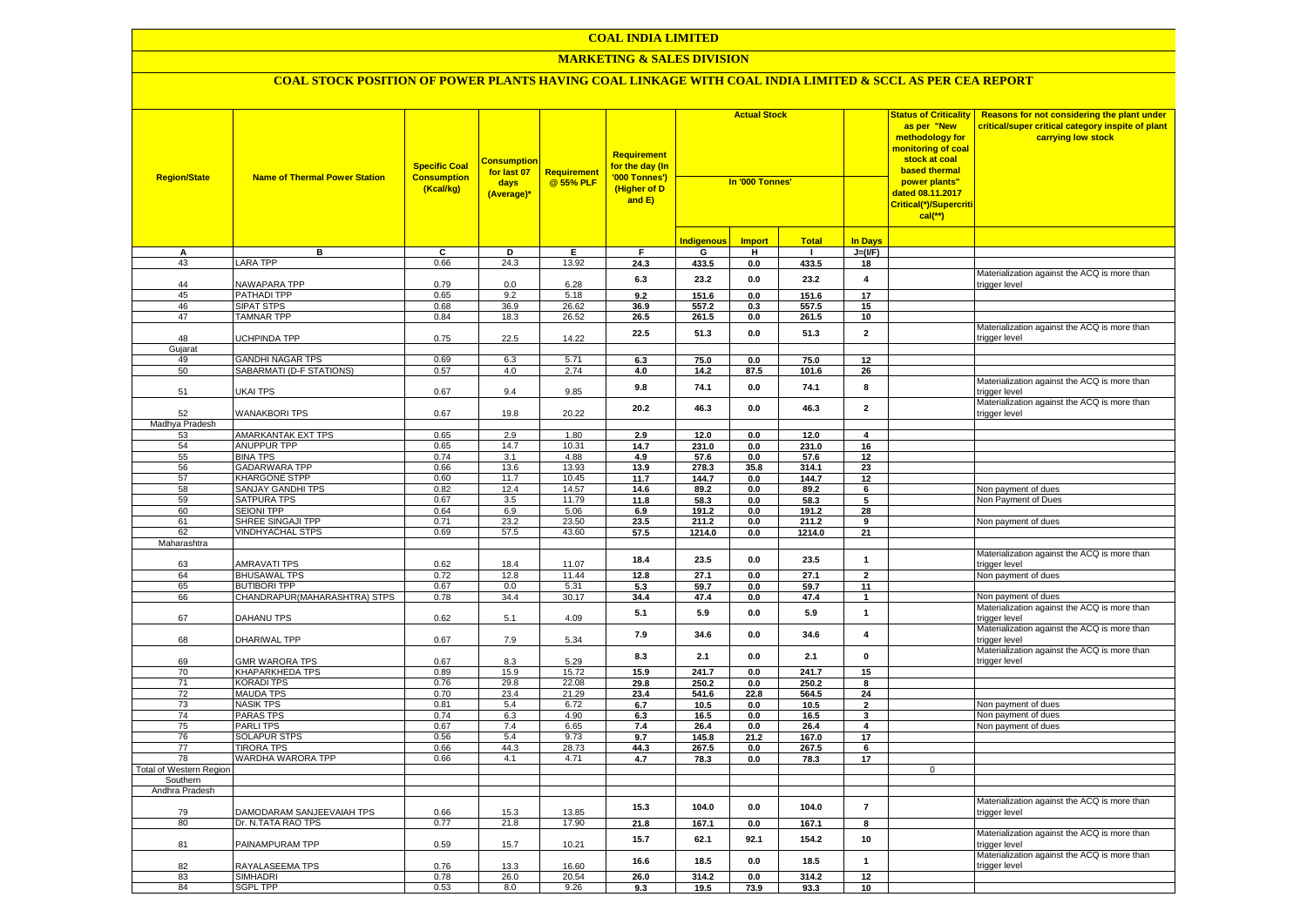### **COAL INDIA LIMITED**

### **MARKETING & SALES DIVISION**

| <b>Region/State</b>        | <b>Name of Thermal Power Station</b>     | <b>Specific Coal</b><br><b>Consumption</b><br>(Kcal/kg) | <mark>Consumptior</mark><br>for last 07<br>days<br>(Average)* | Requirement<br>@ 55% PLF | <b>Requirement</b><br>for the day (In<br>'000 Tonnes')<br>(Higher of D<br>and E) | <b>Actual Stock</b><br>In '000 Tonnes' |                    |                | <b>Status of Criticality</b><br>as per "New<br>methodology for<br><mark>monitoring of coal</mark><br>stock at coal<br>based thermal<br>power plants"<br>dated 08.11.2017<br>Critical(*)/Supercriti<br>$cal$ (**) | Reasons for not considering the plant under<br>critical/super critical category inspite of plant<br>carrying low stock |                                                                     |
|----------------------------|------------------------------------------|---------------------------------------------------------|---------------------------------------------------------------|--------------------------|----------------------------------------------------------------------------------|----------------------------------------|--------------------|----------------|------------------------------------------------------------------------------------------------------------------------------------------------------------------------------------------------------------------|------------------------------------------------------------------------------------------------------------------------|---------------------------------------------------------------------|
|                            |                                          |                                                         |                                                               |                          |                                                                                  | <b>Indigenous</b>                      | <b>Import</b>      | <b>Total</b>   | <b>In Days</b>                                                                                                                                                                                                   |                                                                                                                        |                                                                     |
| А                          | в                                        | С                                                       | D                                                             | Е                        | F                                                                                | G                                      | н                  | -1             | $J=(I/F)$                                                                                                                                                                                                        |                                                                                                                        |                                                                     |
| 43                         | <b>LARA TPP</b>                          | 0.66                                                    | 24.3                                                          | 13.92                    | 24.3                                                                             | 433.5                                  | 0.0                | 433.5          | 18                                                                                                                                                                                                               |                                                                                                                        |                                                                     |
| 44                         | NAWAPARA TPP                             | 0.79                                                    | 0.0                                                           | 6.28                     | 6.3                                                                              | 23.2                                   | 0.0                | 23.2           | $\overline{\mathbf{4}}$                                                                                                                                                                                          |                                                                                                                        | Materialization against the ACQ is more than<br>trigger level       |
| 45                         | PATHADI TPP                              | 0.65                                                    | 9.2                                                           | 5.18                     | 9.2                                                                              | 151.6                                  | 0.0                | 151.6          | 17                                                                                                                                                                                                               |                                                                                                                        |                                                                     |
| 46                         | <b>SIPAT STPS</b>                        | 0.68                                                    | 36.9                                                          | 26.62                    | 36.9                                                                             | 557.2                                  | 0.3                | 557.5          | 15                                                                                                                                                                                                               |                                                                                                                        |                                                                     |
| 47                         | <b>TAMNAR TPP</b>                        | 0.84                                                    | 18.3                                                          | 26.52                    | 26.5                                                                             | 261.5                                  | 0.0                | 261.5          | 10 <sup>1</sup>                                                                                                                                                                                                  |                                                                                                                        |                                                                     |
| 48                         | UCHPINDA TPP                             | 0.75                                                    | 22.5                                                          | 14.22                    | 22.5                                                                             | 51.3                                   | 0.0                | 51.3           | $\overline{2}$                                                                                                                                                                                                   |                                                                                                                        | Materialization against the ACQ is more than<br>trigger level       |
| Gujarat                    |                                          |                                                         |                                                               |                          |                                                                                  |                                        |                    |                |                                                                                                                                                                                                                  |                                                                                                                        |                                                                     |
| 49                         | <b>GANDHI NAGAR TPS</b>                  | 0.69                                                    | 6.3                                                           | 5.71                     | 6.3                                                                              | 75.0                                   | $0.0\,$            | 75.0<br>101.6  | 12<br>26                                                                                                                                                                                                         |                                                                                                                        |                                                                     |
| 50                         | SABARMATI (D-F STATIONS)                 | 0.57                                                    | 4.0                                                           | 2.74                     | 4.0                                                                              | 14.2                                   | 87.5               |                |                                                                                                                                                                                                                  |                                                                                                                        | Materialization against the ACQ is more than                        |
| 51                         | UKAI TPS                                 | 0.67                                                    | 9.4                                                           | 9.85                     | 9.8                                                                              | 74.1                                   | 0.0                | 74.1           | 8                                                                                                                                                                                                                |                                                                                                                        | trigger level                                                       |
| 52                         | <b>WANAKBORI TPS</b>                     | 0.67                                                    | 19.8                                                          | 20.22                    | 20.2                                                                             | 46.3                                   | 0.0                | 46.3           | $\mathbf 2$                                                                                                                                                                                                      |                                                                                                                        | Materialization against the ACQ is more than<br>trigger level       |
| Madhya Pradesh             |                                          |                                                         |                                                               |                          |                                                                                  |                                        |                    |                |                                                                                                                                                                                                                  |                                                                                                                        |                                                                     |
| 53<br>54                   | AMARKANTAK EXT TPS<br><b>ANUPPUR TPP</b> | 0.65<br>0.65                                            | 2.9<br>14.7                                                   | 1.80<br>10.31            | 2.9<br>14.7                                                                      | 12.0<br>231.0                          | 0.0<br>0.0         | 12.0<br>231.0  | $\overline{4}$<br>16                                                                                                                                                                                             |                                                                                                                        |                                                                     |
| 55                         | <b>BINA TPS</b>                          | 0.74                                                    | 3.1                                                           | 4.88                     | 4.9                                                                              | 57.6                                   | 0.0                | 57.6           | 12                                                                                                                                                                                                               |                                                                                                                        |                                                                     |
| 56                         | <b>GADARWARA TPP</b>                     | 0.66                                                    | 13.6                                                          | 13.93                    | 13.9                                                                             | 278.3                                  | 35.8               | 314.1          | 23                                                                                                                                                                                                               |                                                                                                                        |                                                                     |
| 57                         | <b>KHARGONE STPP</b>                     | 0.60                                                    | 11.7                                                          | 10.45                    | 11.7                                                                             | 144.7                                  | $0.0\,$            | 144.7          | 12                                                                                                                                                                                                               |                                                                                                                        |                                                                     |
| 58                         | SANJAY GANDHI TPS                        | 0.82                                                    | 12.4                                                          | 14.57                    | 14.6                                                                             | 89.2                                   | $0.0\,$            | 89.2           | $6\overline{6}$                                                                                                                                                                                                  |                                                                                                                        | Non payment of dues                                                 |
| 59                         | SATPURA TPS                              | 0.67                                                    | 3.5                                                           | 11.79                    | 11.8                                                                             | 58.3                                   | 0.0                | 58.3           | $\overline{5}$                                                                                                                                                                                                   |                                                                                                                        | Non Payment of Dues                                                 |
| 60                         | <b>SEIONI TPP</b>                        | 0.64                                                    | 6.9                                                           | 5.06                     | 6.9                                                                              | 191.2                                  | 0.0                | 191.2          | 28                                                                                                                                                                                                               |                                                                                                                        |                                                                     |
| 61                         | SHREE SINGAJI TPP                        | 0.71                                                    | 23.2                                                          | 23.50                    | 23.5                                                                             | 211.2                                  | 0.0                | 211.2          | 9                                                                                                                                                                                                                |                                                                                                                        | Non payment of dues                                                 |
| 62                         | VINDHYACHAL STPS                         | 0.69                                                    | 57.5                                                          | 43.60                    | 57.5                                                                             | 1214.0                                 | 0.0                | 1214.0         | 21                                                                                                                                                                                                               |                                                                                                                        |                                                                     |
| Maharashtra                |                                          |                                                         |                                                               |                          | 18.4                                                                             | 23.5                                   | 0.0                | 23.5           | 1                                                                                                                                                                                                                |                                                                                                                        | Materialization against the ACQ is more than                        |
| 63                         | <b>AMRAVATI TPS</b>                      | 0.62                                                    | 18.4                                                          | 11.07                    |                                                                                  |                                        |                    |                |                                                                                                                                                                                                                  |                                                                                                                        | trigger level                                                       |
| 64                         | <b>BHUSAWAL TPS</b>                      | 0.72                                                    | 12.8                                                          | 11.44                    | 12.8                                                                             | 27.1                                   | 0.0                | 27.1           | $\overline{2}$                                                                                                                                                                                                   |                                                                                                                        | Non payment of dues                                                 |
| 65                         | <b>BUTIBORI TPP</b>                      | 0.67                                                    | 0.0                                                           | 5.31                     | 5.3                                                                              | 59.7<br>47.4                           | 0.0                | 59.7           | 11<br>$\mathbf{1}$                                                                                                                                                                                               |                                                                                                                        |                                                                     |
| 66                         | CHANDRAPUR(MAHARASHTRA) STPS             | 0.78                                                    | 34.4                                                          | 30.17                    | 34.4<br>5.1                                                                      | 5.9                                    | $0.0\,$<br>$0.0\,$ | 47.4<br>5.9    | $\mathbf{1}$                                                                                                                                                                                                     |                                                                                                                        | Non payment of dues<br>Materialization against the ACQ is more than |
| 67                         | <b>DAHANU TPS</b>                        | 0.62                                                    | 5.1                                                           | 4.09                     | 7.9                                                                              | 34.6                                   | 0.0                | 34.6           | 4                                                                                                                                                                                                                |                                                                                                                        | trigger level<br>Materialization against the ACQ is more than       |
| 68                         | DHARIWAL TPP                             | 0.67                                                    | 7.9                                                           | 5.34                     |                                                                                  |                                        |                    |                |                                                                                                                                                                                                                  |                                                                                                                        | trigger level<br>Materialization against the ACQ is more than       |
| 69                         | <b>GMR WARORA TPS</b>                    | 0.67                                                    | 8.3                                                           | 5.29                     | 8.3                                                                              | 2.1                                    | 0.0                | 2.1            | $\mathbf 0$                                                                                                                                                                                                      |                                                                                                                        | trigger level                                                       |
| 70<br>71                   | KHAPARKHEDA TPS<br><b>KORADI TPS</b>     | 0.89<br>0.76                                            | 15.9<br>29.8                                                  | 15.72<br>22.08           | 15.9<br>29.8                                                                     | 241.7<br>250.2                         | 0.0<br>0.0         | 241.7<br>250.2 | 15<br>8                                                                                                                                                                                                          |                                                                                                                        |                                                                     |
| 72                         | <b>MAUDA TPS</b>                         | 0.70                                                    | 23.4                                                          | 21.29                    | 23.4                                                                             | 541.6                                  | 22.8               | 564.5          | 24                                                                                                                                                                                                               |                                                                                                                        |                                                                     |
| 73                         | <b>NASIK TPS</b>                         | 0.81                                                    | 5.4                                                           | 6.72                     | 6.7                                                                              | 10.5                                   | 0.0                | 10.5           | $\overline{2}$                                                                                                                                                                                                   |                                                                                                                        | Non payment of dues                                                 |
| 74                         | PARAS TPS                                | 0.74                                                    | 6.3                                                           | 4.90                     | 6.3                                                                              | 16.5                                   | $0.0\,$            | 16.5           | 3                                                                                                                                                                                                                |                                                                                                                        | Non payment of dues                                                 |
| 75                         | PARLI TPS                                | 0.67                                                    | 7.4                                                           | 6.65                     | 7.4                                                                              | 26.4                                   | $0.0\,$            | 26.4           | $\overline{\mathbf{4}}$                                                                                                                                                                                          |                                                                                                                        | Non payment of dues                                                 |
| 76                         | <b>SOLAPUR STPS</b>                      | 0.56                                                    | 5.4                                                           | 9.73                     | 9.7                                                                              | 145.8                                  | 21.2               | 167.0          | 17                                                                                                                                                                                                               |                                                                                                                        |                                                                     |
| $\overline{77}$            | <b>TIRORA TPS</b>                        | 0.66                                                    | 44.3                                                          | 28.73                    | 44.3                                                                             | 267.5                                  | 0.0                | 267.5          | 6                                                                                                                                                                                                                |                                                                                                                        |                                                                     |
| 78                         | WARDHA WARORA TPP                        | 0.66                                                    | 4.1                                                           | 4.71                     | 4.7                                                                              | 78.3                                   | 0.0                | 78.3           | 17                                                                                                                                                                                                               |                                                                                                                        |                                                                     |
| Total of Western Region    |                                          |                                                         |                                                               |                          |                                                                                  |                                        |                    |                |                                                                                                                                                                                                                  | $\mathbf 0$                                                                                                            |                                                                     |
| Southern<br>Andhra Pradesh |                                          |                                                         |                                                               |                          |                                                                                  |                                        |                    |                |                                                                                                                                                                                                                  |                                                                                                                        |                                                                     |
| 79                         | DAMODARAM SANJEEVAIAH TPS                | 0.66                                                    | 15.3                                                          | 13.85                    | 15.3                                                                             | 104.0                                  | 0.0                | 104.0          | $\overline{7}$                                                                                                                                                                                                   |                                                                                                                        | Materialization against the ACQ is more than<br>trigger level       |
| 80                         | Dr. N.TATA RAO TPS                       | 0.77                                                    | 21.8                                                          | 17.90                    | 21.8                                                                             | 167.1                                  | 0.0                | 167.1          | 8                                                                                                                                                                                                                |                                                                                                                        |                                                                     |
| 81                         | PAINAMPURAM TPP                          | 0.59                                                    | 15.7                                                          | 10.21                    | 15.7                                                                             | 62.1                                   | 92.1               | 154.2          | 10                                                                                                                                                                                                               |                                                                                                                        | Materialization against the ACQ is more than<br>trigger level       |
| 82                         | RAYALASEEMA TPS                          | 0.76                                                    | 13.3                                                          | 16.60                    | 16.6                                                                             | 18.5                                   | $0.0\,$            | 18.5           | $\mathbf{1}$                                                                                                                                                                                                     |                                                                                                                        | Materialization against the ACQ is more than<br>trigger level       |
| 83                         | <b>SIMHADRI</b>                          | 0.78                                                    | 26.0                                                          | 20.54                    | 26.0                                                                             | 314.2                                  | 0.0                | 314.2          | 12                                                                                                                                                                                                               |                                                                                                                        |                                                                     |
| 84                         | <b>SGPL TPP</b>                          | 0.53                                                    | 8.0                                                           | 9.26                     | 9.3                                                                              | 19.5                                   | 73.9               | 93.3           | 10                                                                                                                                                                                                               |                                                                                                                        |                                                                     |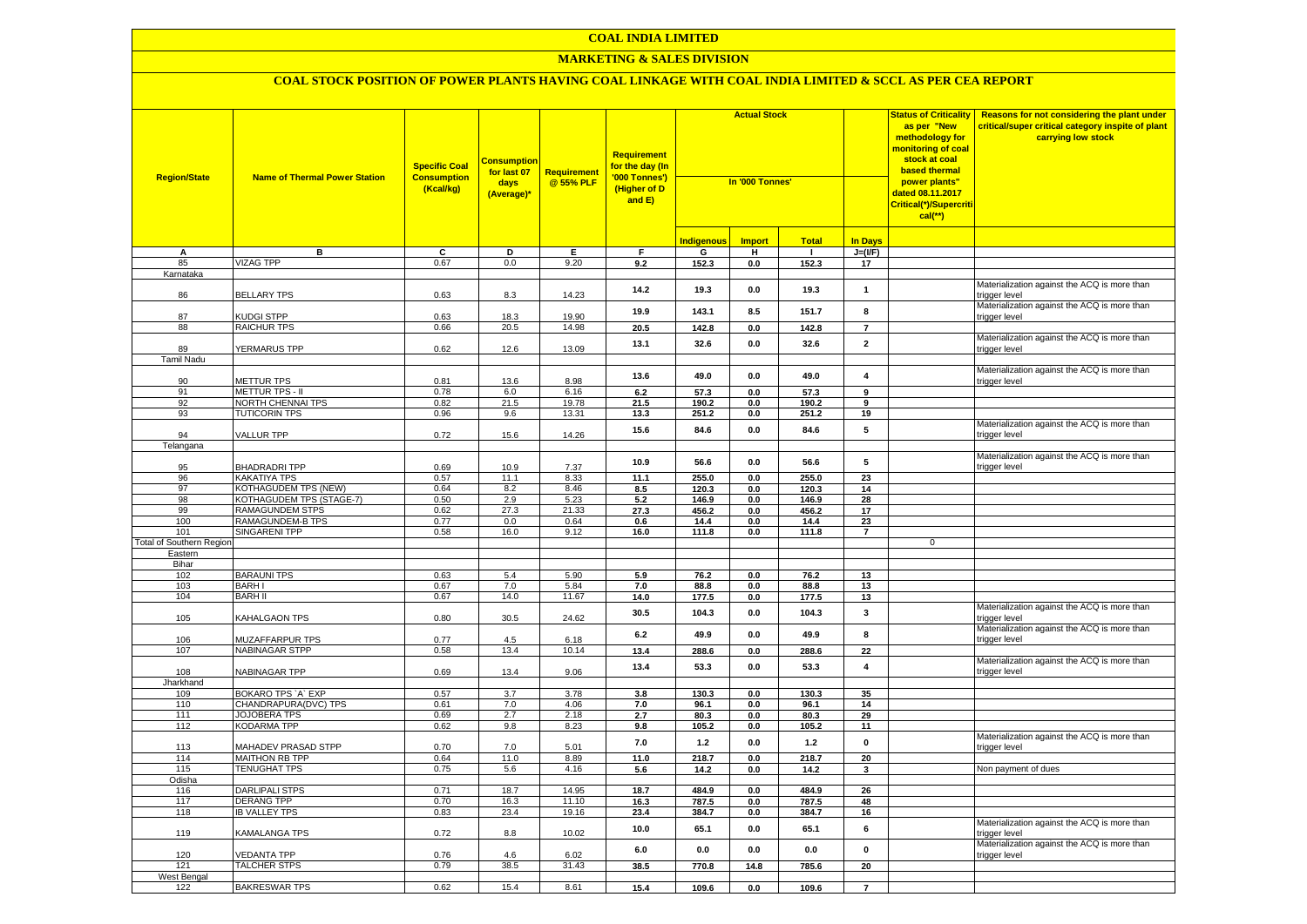### **COAL INDIA LIMITED**

### **MARKETING & SALES DIVISION**

| <b>Region/State</b>             | <b>Name of Thermal Power Station</b>              | <b>Specific Coal</b><br><b>Consumption</b><br>(Kcal/kg) | Consumptior<br>for last 07<br>days<br>(Average)* | <b>Requirement</b><br>@ 55% PLF | <b>Requirement</b><br>for the day (In<br>'000 Tonnes')<br>(Higher of D<br>and E) | <b>Actual Stock</b><br>In '000 Tonnes' |               |              |                   | <b>Status of Criticality</b><br>as per "New<br>methodology for<br>monitoring of coal<br>stock at coal<br><b>based thermal</b><br>power plants"<br>dated 08.11.2017<br>Critical(*)/Supercriti<br>$cal$ (**) | Reasons for not considering the plant under<br>critical/super critical category inspite of plant<br>carrying low stock |
|---------------------------------|---------------------------------------------------|---------------------------------------------------------|--------------------------------------------------|---------------------------------|----------------------------------------------------------------------------------|----------------------------------------|---------------|--------------|-------------------|------------------------------------------------------------------------------------------------------------------------------------------------------------------------------------------------------------|------------------------------------------------------------------------------------------------------------------------|
|                                 |                                                   |                                                         |                                                  |                                 |                                                                                  | <b>Indigenous</b>                      | <b>Import</b> | <b>Total</b> | <b>In Days</b>    |                                                                                                                                                                                                            |                                                                                                                        |
| Α                               | в                                                 | С                                                       | D                                                | Е                               | F.                                                                               | G                                      | н             | $\mathbf{L}$ | $J=(I/F)$         |                                                                                                                                                                                                            |                                                                                                                        |
| 85                              | <b>VIZAG TPP</b>                                  | 0.67                                                    | 0.0                                              | 9.20                            | 9.2                                                                              | 152.3                                  | 0.0           | 152.3        | 17                |                                                                                                                                                                                                            |                                                                                                                        |
| Karnataka                       |                                                   |                                                         |                                                  |                                 |                                                                                  |                                        |               |              |                   |                                                                                                                                                                                                            |                                                                                                                        |
| 86                              | <b>BELLARY TPS</b>                                | 0.63                                                    | 8.3                                              | 14.23                           | 14.2                                                                             | 19.3                                   | 0.0           | 19.3         | $\mathbf{1}$      |                                                                                                                                                                                                            | Materialization against the ACQ is more than<br>trigger level                                                          |
| 87                              | KUDGI STPP                                        | 0.63                                                    | 18.3                                             | 19.90                           | 19.9                                                                             | 143.1                                  | 8.5           | 151.7        | 8                 |                                                                                                                                                                                                            | Materialization against the ACQ is more than<br>trigger level                                                          |
| 88                              | <b>RAICHUR TPS</b>                                | 0.66                                                    | 20.5                                             | 14.98                           | 20.5                                                                             | 142.8                                  | 0.0           | 142.8        | $\overline{7}$    |                                                                                                                                                                                                            |                                                                                                                        |
| 89                              | YERMARUS TPP                                      | 0.62                                                    | 12.6                                             | 13.09                           | 13.1                                                                             | 32.6                                   | 0.0           | 32.6         | $\overline{2}$    |                                                                                                                                                                                                            | Materialization against the ACQ is more than<br>trigger level                                                          |
| <b>Tamil Nadu</b>               |                                                   |                                                         |                                                  |                                 |                                                                                  |                                        |               |              |                   |                                                                                                                                                                                                            |                                                                                                                        |
| 90                              | <b>METTUR TPS</b>                                 | 0.81                                                    | 13.6                                             | 8.98                            | 13.6                                                                             | 49.0                                   | 0.0           | 49.0         | $\overline{4}$    |                                                                                                                                                                                                            | Materialization against the ACQ is more than<br>trigger level                                                          |
| 91                              | <b>METTUR TPS - II</b>                            | 0.78                                                    | 6.0                                              | 6.16                            | $6.2\,$                                                                          | 57.3                                   | $0.0\,$       | 57.3         | 9                 |                                                                                                                                                                                                            |                                                                                                                        |
| 92                              | <b>NORTH CHENNAI TPS</b>                          | 0.82                                                    | 21.5                                             | 19.78                           | 21.5                                                                             | 190.2                                  | 0.0           | 190.2        | $\overline{9}$    |                                                                                                                                                                                                            |                                                                                                                        |
| 93                              | <b>TUTICORIN TPS</b>                              | 0.96                                                    | 9.6                                              | 13.31                           | 13.3                                                                             | 251.2                                  | 0.0           | 251.2        | 19                |                                                                                                                                                                                                            |                                                                                                                        |
| 94                              | <b>VALLUR TPP</b>                                 | 0.72                                                    | 15.6                                             | 14.26                           | 15.6                                                                             | 84.6                                   | 0.0           | 84.6         | 5                 |                                                                                                                                                                                                            | Materialization against the ACQ is more than<br>trigger level                                                          |
| Telangana                       |                                                   |                                                         |                                                  |                                 |                                                                                  |                                        |               |              |                   |                                                                                                                                                                                                            |                                                                                                                        |
| 95                              | <b>BHADRADRI TPP</b>                              | 0.69                                                    | 10.9                                             | 7.37                            | 10.9                                                                             | 56.6                                   | 0.0           | 56.6         | 5                 |                                                                                                                                                                                                            | Materialization against the ACQ is more than<br>trigger level                                                          |
| 96                              | <b>KAKATIYA TPS</b>                               | 0.57                                                    | 11.1                                             | 8.33                            | 11.1                                                                             | 255.0                                  | 0.0           | 255.0        | 23                |                                                                                                                                                                                                            |                                                                                                                        |
| 97                              | KOTHAGUDEM TPS (NEW)                              | 0.64                                                    | 8.2                                              | 8.46                            | 8.5                                                                              | 120.3                                  | 0.0           | 120.3        | 14                |                                                                                                                                                                                                            |                                                                                                                        |
| 98                              | KOTHAGUDEM TPS (STAGE-7)                          | 0.50                                                    | 2.9                                              | 5.23                            | 5.2                                                                              | 146.9                                  | 0.0           | 146.9        | 28                |                                                                                                                                                                                                            |                                                                                                                        |
| 99<br>100                       | <b>RAMAGUNDEM STPS</b><br><b>RAMAGUNDEM-B TPS</b> | 0.62<br>0.77                                            | 27.3<br>0.0                                      | 21.33<br>0.64                   | 27.3                                                                             | 456.2                                  | 0.0           | 456.2        | 17                |                                                                                                                                                                                                            |                                                                                                                        |
| 101                             | <b>SINGARENI TPP</b>                              |                                                         | 16.0                                             | 9.12                            | 0.6                                                                              | 14.4                                   | 0.0           | 14.4         | 23                |                                                                                                                                                                                                            |                                                                                                                        |
| <b>Total of Southern Region</b> |                                                   | 0.58                                                    |                                                  |                                 | 16.0                                                                             | 111.8                                  | $0.0\,$       | 111.8        | $\overline{7}$    | $\mathbf 0$                                                                                                                                                                                                |                                                                                                                        |
| Eastern                         |                                                   |                                                         |                                                  |                                 |                                                                                  |                                        |               |              |                   |                                                                                                                                                                                                            |                                                                                                                        |
| Bihar                           |                                                   |                                                         |                                                  |                                 |                                                                                  |                                        |               |              |                   |                                                                                                                                                                                                            |                                                                                                                        |
| 102                             | <b>BARAUNI TPS</b>                                | 0.63                                                    | 5.4                                              | 5.90                            | 5.9                                                                              | 76.2                                   | 0.0           | 76.2         | 13                |                                                                                                                                                                                                            |                                                                                                                        |
| 103                             | <b>BARHI</b>                                      | 0.67                                                    | 7.0                                              | 5.84                            | 7.0                                                                              | 88.8                                   | 0.0           | 88.8         | 13                |                                                                                                                                                                                                            |                                                                                                                        |
| 104                             | <b>BARH II</b>                                    | 0.67                                                    | 14.0                                             | 11.67                           | 14.0                                                                             | 177.5                                  | 0.0           | 177.5        | 13                |                                                                                                                                                                                                            |                                                                                                                        |
| 105                             | KAHALGAON TPS                                     | 0.80                                                    | 30.5                                             | 24.62                           | 30.5                                                                             | 104.3                                  | 0.0           | 104.3        | 3                 |                                                                                                                                                                                                            | Materialization against the ACQ is more than<br>trigger level                                                          |
| 106                             | MUZAFFARPUR TPS                                   | 0.77                                                    | 4.5                                              | 6.18                            | 6.2                                                                              | 49.9                                   | 0.0           | 49.9         | 8                 |                                                                                                                                                                                                            | Materialization against the ACQ is more than<br>trigger level                                                          |
| 107                             | <b>NABINAGAR STPP</b>                             | 0.58                                                    | 13.4                                             | 10.14                           | 13.4                                                                             | 288.6                                  | 0.0           | 288.6        | $\overline{22}$   |                                                                                                                                                                                                            |                                                                                                                        |
| 108                             | NABINAGAR TPP                                     | 0.69                                                    | 13.4                                             | 9.06                            | 13.4                                                                             | 53.3                                   | $0.0\,$       | 53.3         | $\pmb{4}$         |                                                                                                                                                                                                            | Materialization against the ACQ is more than<br>trigger level                                                          |
| Jharkhand                       |                                                   |                                                         |                                                  |                                 |                                                                                  |                                        |               |              |                   |                                                                                                                                                                                                            |                                                                                                                        |
| 109                             | BOKARO TPS 'A' EXP                                | 0.57                                                    | 3.7                                              | 3.78                            | 3.8                                                                              | 130.3                                  | 0.0           | 130.3        | 35                |                                                                                                                                                                                                            |                                                                                                                        |
| 110                             | CHANDRAPURA(DVC) TPS                              | 0.61                                                    | 7.0                                              | 4.06                            | 7.0                                                                              | 96.1                                   | 0.0           | 96.1         | 14                |                                                                                                                                                                                                            |                                                                                                                        |
| 111                             | JOJOBERA TPS                                      | 0.69                                                    | 2.7                                              | 2.18                            | 2.7                                                                              | 80.3                                   | 0.0           | 80.3         | 29                |                                                                                                                                                                                                            |                                                                                                                        |
| 112                             | <b>KODARMA TPP</b>                                | 0.62                                                    | 9.8                                              | 8.23                            | 9.8<br>7.0                                                                       | 105.2<br>1.2                           | 0.0<br>0.0    | 105.2<br>1.2 | 11<br>$\mathbf 0$ |                                                                                                                                                                                                            | Materialization against the ACQ is more than                                                                           |
| 113<br>114                      | MAHADEV PRASAD STPP<br>MAITHON RB TPP             | 0.70<br>0.64                                            | 7.0<br>11.0                                      | 5.01<br>8.89                    | 11.0                                                                             | 218.7                                  | 0.0           | 218.7        | 20                |                                                                                                                                                                                                            | trigger level                                                                                                          |
| 115                             | <b>TENUGHAT TPS</b>                               | 0.75                                                    | 5.6                                              | 4.16                            | 5.6                                                                              | 14.2                                   | $0.0\,$       | 14.2         | 3                 |                                                                                                                                                                                                            | Non payment of dues                                                                                                    |
| Odisha                          |                                                   |                                                         |                                                  |                                 |                                                                                  |                                        |               |              |                   |                                                                                                                                                                                                            |                                                                                                                        |
| 116                             | <b>DARLIPALI STPS</b>                             | 0.71                                                    | 18.7                                             | 14.95                           | 18.7                                                                             | 484.9                                  | 0.0           | 484.9        | 26                |                                                                                                                                                                                                            |                                                                                                                        |
| 117                             | <b>DERANG TPP</b>                                 | 0.70                                                    | 16.3                                             | 11.10                           | 16.3                                                                             | 787.5                                  | 0.0           | 787.5        | 48                |                                                                                                                                                                                                            |                                                                                                                        |
| 118                             | <b>IB VALLEY TPS</b>                              | 0.83                                                    | 23.4                                             | 19.16                           | 23.4                                                                             | 384.7                                  | 0.0           | 384.7        | 16                |                                                                                                                                                                                                            | Materialization against the ACQ is more than                                                                           |
| 119                             | KAMALANGA TPS                                     | 0.72                                                    | 8.8                                              | 10.02                           | 10.0                                                                             | 65.1                                   | 0.0           | 65.1         | 6                 |                                                                                                                                                                                                            | trigger level                                                                                                          |
| 120                             | <b>VEDANTA TPP</b>                                | 0.76                                                    | 4.6                                              | 6.02                            | 6.0                                                                              | 0.0                                    | 0.0           | 0.0          | $\mathbf 0$       |                                                                                                                                                                                                            | Materialization against the ACQ is more than<br>trigger level                                                          |
| 121                             | <b>TALCHER STPS</b>                               | 0.79                                                    | 38.5                                             | 31.43                           | 38.5                                                                             | 770.8                                  | 14.8          | 785.6        | 20                |                                                                                                                                                                                                            |                                                                                                                        |
| West Bengal                     |                                                   |                                                         |                                                  |                                 |                                                                                  |                                        |               |              | $\overline{7}$    |                                                                                                                                                                                                            |                                                                                                                        |
| 122                             | <b>BAKRESWAR TPS</b>                              | 0.62                                                    | 15.4                                             | 8.61                            | 15.4                                                                             | 109.6                                  | 0.0           | 109.6        |                   |                                                                                                                                                                                                            |                                                                                                                        |